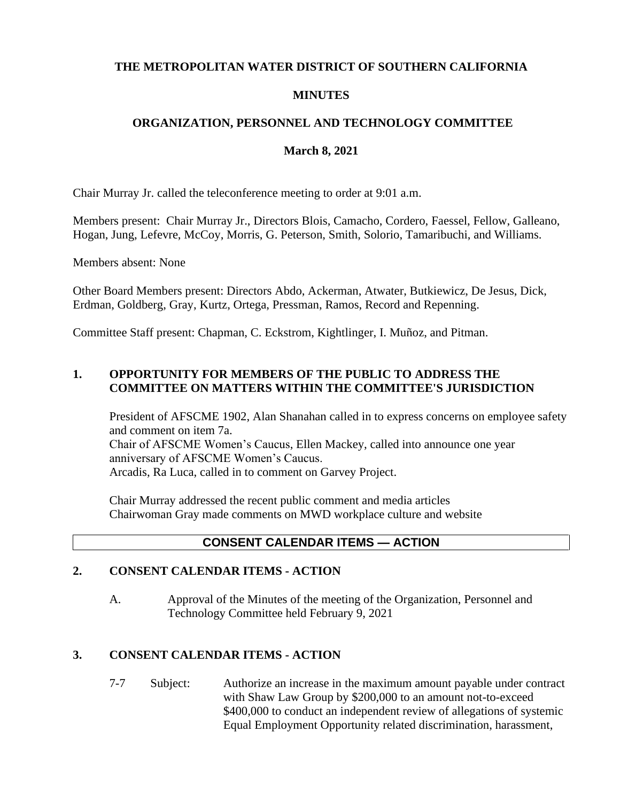## **THE METROPOLITAN WATER DISTRICT OF SOUTHERN CALIFORNIA**

### **MINUTES**

## **ORGANIZATION, PERSONNEL AND TECHNOLOGY COMMITTEE**

### **March 8, 2021**

Chair Murray Jr. called the teleconference meeting to order at 9:01 a.m.

Members present: Chair Murray Jr., Directors Blois, Camacho, Cordero, Faessel, Fellow, Galleano, Hogan, Jung, Lefevre, McCoy, Morris, G. Peterson, Smith, Solorio, Tamaribuchi, and Williams.

Members absent: None

Other Board Members present: Directors Abdo, Ackerman, Atwater, Butkiewicz, De Jesus, Dick, Erdman, Goldberg, Gray, Kurtz, Ortega, Pressman, Ramos, Record and Repenning.

Committee Staff present: Chapman, C. Eckstrom, Kightlinger, I. Muñoz, and Pitman.

# **1. OPPORTUNITY FOR MEMBERS OF THE PUBLIC TO ADDRESS THE COMMITTEE ON MATTERS WITHIN THE COMMITTEE'S JURISDICTION**

President of AFSCME 1902, Alan Shanahan called in to express concerns on employee safety and comment on item 7a. Chair of AFSCME Women's Caucus, Ellen Mackey, called into announce one year anniversary of AFSCME Women's Caucus. Arcadis, Ra Luca, called in to comment on Garvey Project.

Chair Murray addressed the recent public comment and media articles Chairwoman Gray made comments on MWD workplace culture and website

# **CONSENT CALENDAR ITEMS — ACTION**

## **2. CONSENT CALENDAR ITEMS - ACTION**

A. Approval of the Minutes of the meeting of the Organization, Personnel and Technology Committee held February 9, 2021

### **3. CONSENT CALENDAR ITEMS - ACTION**

7-7 Subject: Authorize an increase in the maximum amount payable under contract with Shaw Law Group by \$200,000 to an amount not-to-exceed \$400,000 to conduct an independent review of allegations of systemic Equal Employment Opportunity related discrimination, harassment,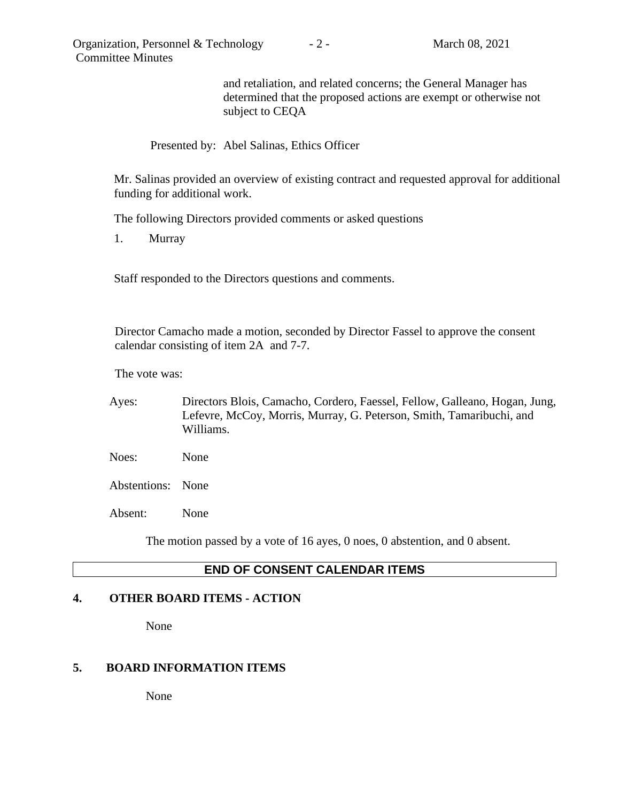and retaliation, and related concerns; the General Manager has determined that the proposed actions are exempt or otherwise not subject to CEQA

### Presented by: Abel Salinas, Ethics Officer

Mr. Salinas provided an overview of existing contract and requested approval for additional funding for additional work.

The following Directors provided comments or asked questions

1. Murray

Staff responded to the Directors questions and comments.

Director Camacho made a motion, seconded by Director Fassel to approve the consent calendar consisting of item 2A and 7-7.

The vote was:

- Ayes: Directors Blois, Camacho, Cordero, Faessel, Fellow, Galleano, Hogan, Jung, Lefevre, McCoy, Morris, Murray, G. Peterson, Smith, Tamaribuchi, and Williams.
- Noes: None

Abstentions: None

Absent: None

The motion passed by a vote of 16 ayes, 0 noes, 0 abstention, and 0 absent.

# **END OF CONSENT CALENDAR ITEMS**

### **4. OTHER BOARD ITEMS - ACTION**

None

### **5. BOARD INFORMATION ITEMS**

None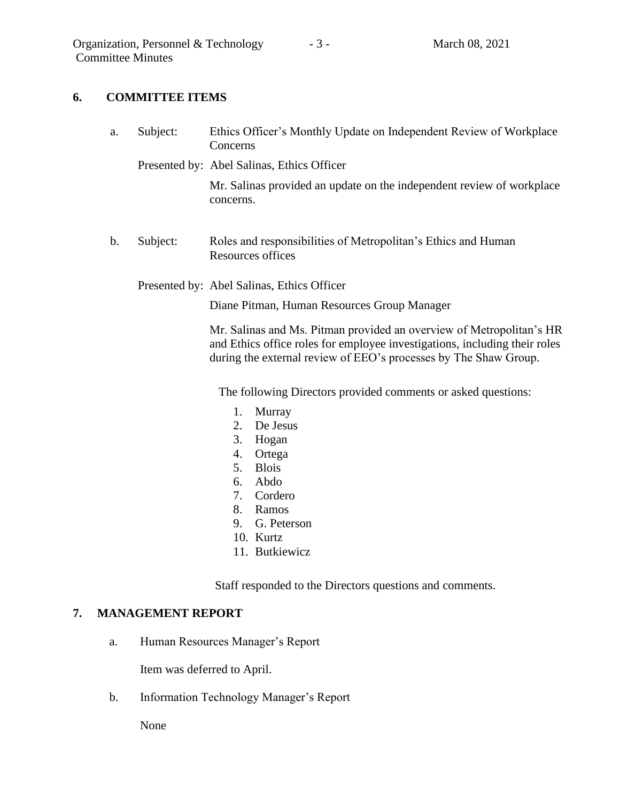## **6. COMMITTEE ITEMS**

- a. Subject: Ethics Officer's Monthly Update on Independent Review of Workplace Concerns
	- Presented by: Abel Salinas, Ethics Officer

Mr. Salinas provided an update on the independent review of workplace concerns.

- b. Subject: Roles and responsibilities of Metropolitan's Ethics and Human Resources offices
	- Presented by: Abel Salinas, Ethics Officer

Diane Pitman, Human Resources Group Manager

Mr. Salinas and Ms. Pitman provided an overview of Metropolitan's HR and Ethics office roles for employee investigations, including their roles during the external review of EEO's processes by The Shaw Group.

The following Directors provided comments or asked questions:

- 1. Murray
- 2. De Jesus
- 3. Hogan
- 4. Ortega
- 5. Blois
- 6. Abdo
- 7. Cordero
- 8. Ramos
- 9. G. Peterson
- 10. Kurtz
- 11. Butkiewicz

Staff responded to the Directors questions and comments.

### **7. MANAGEMENT REPORT**

a. Human Resources Manager's Report

Item was deferred to April.

b. Information Technology Manager's Report

None